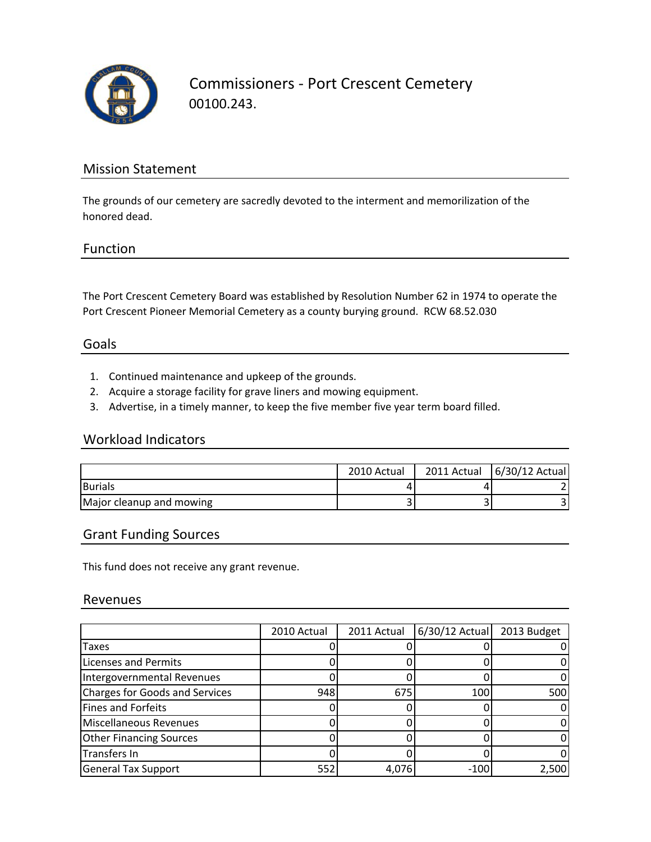

Commissioners ‐ Port Crescent Cemetery 00100.243.

### Mission Statement

The grounds of our cemetery are sacredly devoted to the interment and memorilization of the honored dead.

#### Function

The Port Crescent Cemetery Board was established by Resolution Number 62 in 1974 to operate the Port Crescent Pioneer Memorial Cemetery as a county burying ground. RCW 68.52.030

#### Goals

- 1. Continued maintenance and upkeep of the grounds.
- 2. Acquire a storage facility for grave liners and mowing equipment.
- 3. Advertise, in a timely manner, to keep the five member five year term board filled.

#### Workload Indicators

|                          | 2010 Actual | 2011 Actual 6/30/12 Actual |
|--------------------------|-------------|----------------------------|
| <b>Burials</b>           |             |                            |
| Major cleanup and mowing |             |                            |

#### Grant Funding Sources

This fund does not receive any grant revenue.

#### Revenues

|                                       | 2010 Actual | 2011 Actual | $6/30/12$ Actual | 2013 Budget |
|---------------------------------------|-------------|-------------|------------------|-------------|
| Taxes                                 |             |             |                  |             |
| <b>Licenses and Permits</b>           |             |             |                  |             |
| Intergovernmental Revenues            |             |             |                  |             |
| <b>Charges for Goods and Services</b> | 948         | 675         | 100              | 500         |
| Fines and Forfeits                    |             |             |                  |             |
| <b>Miscellaneous Revenues</b>         |             |             |                  |             |
| <b>Other Financing Sources</b>        |             |             |                  |             |
| Transfers In                          |             |             |                  |             |
| <b>General Tax Support</b>            | 552         | 4.076       | $-100$           | 2,500       |